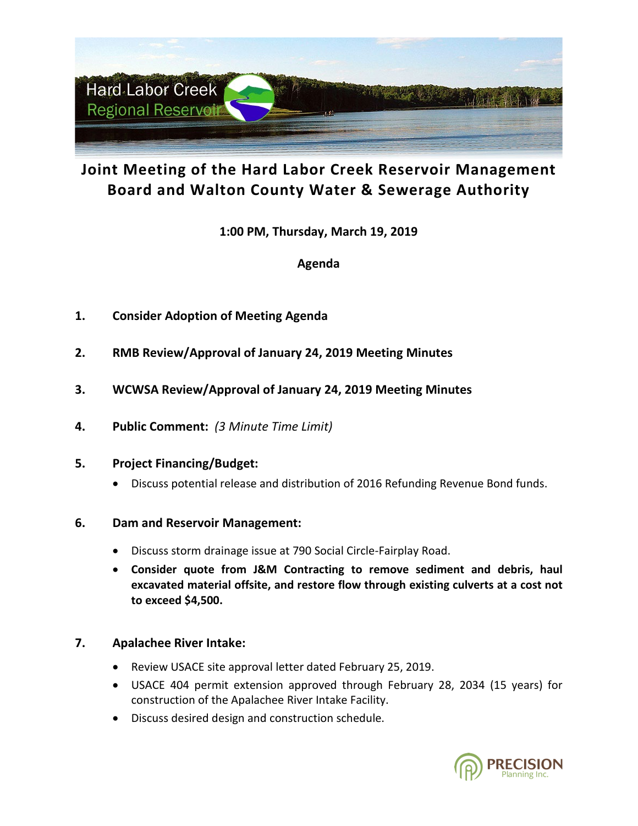

# **Joint Meeting of the Hard Labor Creek Reservoir Management Board and Walton County Water & Sewerage Authority**

**1:00 PM, Thursday, March 19, 2019**

## **Agenda**

- **1. Consider Adoption of Meeting Agenda**
- **2. RMB Review/Approval of January 24, 2019 Meeting Minutes**
- **3. WCWSA Review/Approval of January 24, 2019 Meeting Minutes**
- **4. Public Comment:** *(3 Minute Time Limit)*

### **5. Project Financing/Budget:**

• Discuss potential release and distribution of 2016 Refunding Revenue Bond funds.

### **6. Dam and Reservoir Management:**

- Discuss storm drainage issue at 790 Social Circle-Fairplay Road.
- **Consider quote from J&M Contracting to remove sediment and debris, haul excavated material offsite, and restore flow through existing culverts at a cost not to exceed \$4,500.**

### **7. Apalachee River Intake:**

- Review USACE site approval letter dated February 25, 2019.
- USACE 404 permit extension approved through February 28, 2034 (15 years) for construction of the Apalachee River Intake Facility.
- Discuss desired design and construction schedule.